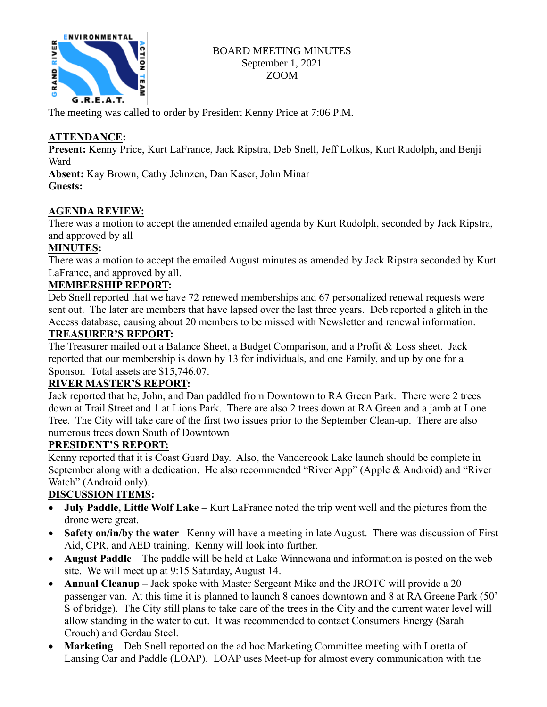

### BOARD MEETING MINUTES September 1, 2021 ZOOM

The meeting was called to order by President Kenny Price at 7:06 P.M.

# **ATTENDANCE:**

**Present:** Kenny Price, Kurt LaFrance, Jack Ripstra, Deb Snell, Jeff Lolkus, Kurt Rudolph, and Benji Ward

**Absent:** Kay Brown, Cathy Jehnzen, Dan Kaser, John Minar **Guests:**

# **AGENDA REVIEW:**

There was a motion to accept the amended emailed agenda by Kurt Rudolph, seconded by Jack Ripstra, and approved by all

## **MINUTES:**

There was a motion to accept the emailed August minutes as amended by Jack Ripstra seconded by Kurt LaFrance, and approved by all.

## **MEMBERSHIP REPORT:**

Deb Snell reported that we have 72 renewed memberships and 67 personalized renewal requests were sent out. The later are members that have lapsed over the last three years. Deb reported a glitch in the Access database, causing about 20 members to be missed with Newsletter and renewal information.

## **TREASURER'S REPORT:**

The Treasurer mailed out a Balance Sheet, a Budget Comparison, and a Profit & Loss sheet. Jack reported that our membership is down by 13 for individuals, and one Family, and up by one for a Sponsor. Total assets are \$15,746.07.

## **RIVER MASTER'S REPORT:**

Jack reported that he, John, and Dan paddled from Downtown to RA Green Park. There were 2 trees down at Trail Street and 1 at Lions Park. There are also 2 trees down at RA Green and a jamb at Lone Tree. The City will take care of the first two issues prior to the September Clean-up. There are also numerous trees down South of Downtown

## **PRESIDENT'S REPORT:**

Kenny reported that it is Coast Guard Day. Also, the Vandercook Lake launch should be complete in September along with a dedication. He also recommended "River App" (Apple & Android) and "River Watch" (Android only).

# **DISCUSSION ITEMS:**

- **July Paddle, Little Wolf Lake** Kurt LaFrance noted the trip went well and the pictures from the drone were great.
- **Safety on/in/by the water** –Kenny will have a meeting in late August. There was discussion of First Aid, CPR, and AED training. Kenny will look into further.
- **August Paddle** The paddle will be held at Lake Winnewana and information is posted on the web site. We will meet up at 9:15 Saturday, August 14.
- **Annual Cleanup –** Jack spoke with Master Sergeant Mike and the JROTC will provide a 20 passenger van. At this time it is planned to launch 8 canoes downtown and 8 at RA Greene Park (50' S of bridge). The City still plans to take care of the trees in the City and the current water level will allow standing in the water to cut. It was recommended to contact Consumers Energy (Sarah Crouch) and Gerdau Steel.
- **Marketing** Deb Snell reported on the ad hoc Marketing Committee meeting with Loretta of Lansing Oar and Paddle (LOAP). LOAP uses Meet-up for almost every communication with the